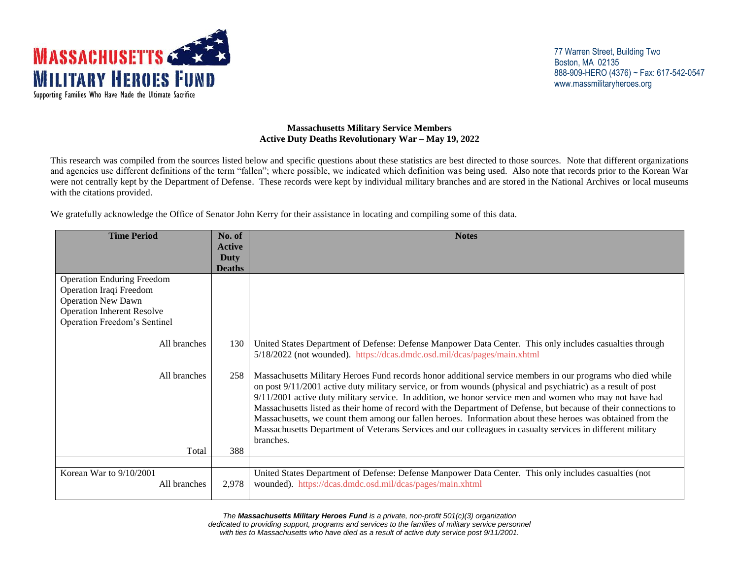

## **Massachusetts Military Service Members Active Duty Deaths Revolutionary War – May 19, 2022**

This research was compiled from the sources listed below and specific questions about these statistics are best directed to those sources. Note that different organizations and agencies use different definitions of the term "fallen"; where possible, we indicated which definition was being used. Also note that records prior to the Korean War were not centrally kept by the Department of Defense. These records were kept by individual military branches and are stored in the National Archives or local museums with the citations provided.

We gratefully acknowledge the Office of Senator John Kerry for their assistance in locating and compiling some of this data.

| <b>Time Period</b>                                                                                                                                             | No. of                | <b>Notes</b>                                                                                                                                                                                                                                                                                                                                                                                                                                                                                                                                                                                                                                                                                            |
|----------------------------------------------------------------------------------------------------------------------------------------------------------------|-----------------------|---------------------------------------------------------------------------------------------------------------------------------------------------------------------------------------------------------------------------------------------------------------------------------------------------------------------------------------------------------------------------------------------------------------------------------------------------------------------------------------------------------------------------------------------------------------------------------------------------------------------------------------------------------------------------------------------------------|
|                                                                                                                                                                | <b>Active</b>         |                                                                                                                                                                                                                                                                                                                                                                                                                                                                                                                                                                                                                                                                                                         |
|                                                                                                                                                                | Duty<br><b>Deaths</b> |                                                                                                                                                                                                                                                                                                                                                                                                                                                                                                                                                                                                                                                                                                         |
| <b>Operation Enduring Freedom</b><br>Operation Iraqi Freedom<br><b>Operation New Dawn</b><br><b>Operation Inherent Resolve</b><br>Operation Freedom's Sentinel |                       |                                                                                                                                                                                                                                                                                                                                                                                                                                                                                                                                                                                                                                                                                                         |
| All branches                                                                                                                                                   | 130                   | United States Department of Defense: Defense Manpower Data Center. This only includes casualties through<br>5/18/2022 (not wounded). https://dcas.dmdc.osd.mil/dcas/pages/main.xhtml                                                                                                                                                                                                                                                                                                                                                                                                                                                                                                                    |
| All branches<br>Total                                                                                                                                          | 258<br>388            | Massachusetts Military Heroes Fund records honor additional service members in our programs who died while<br>on post 9/11/2001 active duty military service, or from wounds (physical and psychiatric) as a result of post<br>$9/11/2001$ active duty military service. In addition, we honor service men and women who may not have had<br>Massachusetts listed as their home of record with the Department of Defense, but because of their connections to<br>Massachusetts, we count them among our fallen heroes. Information about these heroes was obtained from the<br>Massachusetts Department of Veterans Services and our colleagues in casualty services in different military<br>branches. |
|                                                                                                                                                                |                       |                                                                                                                                                                                                                                                                                                                                                                                                                                                                                                                                                                                                                                                                                                         |
| Korean War to 9/10/2001<br>All branches                                                                                                                        | 2,978                 | United States Department of Defense: Defense Manpower Data Center. This only includes casualties (not<br>wounded). https://dcas.dmdc.osd.mil/dcas/pages/main.xhtml                                                                                                                                                                                                                                                                                                                                                                                                                                                                                                                                      |

*The Massachusetts Military Heroes Fund is a private, non-profit 501(c)(3) organization dedicated to providing support, programs and services to the families of military service personnel with ties to Massachusetts who have died as a result of active duty service post 9/11/2001.*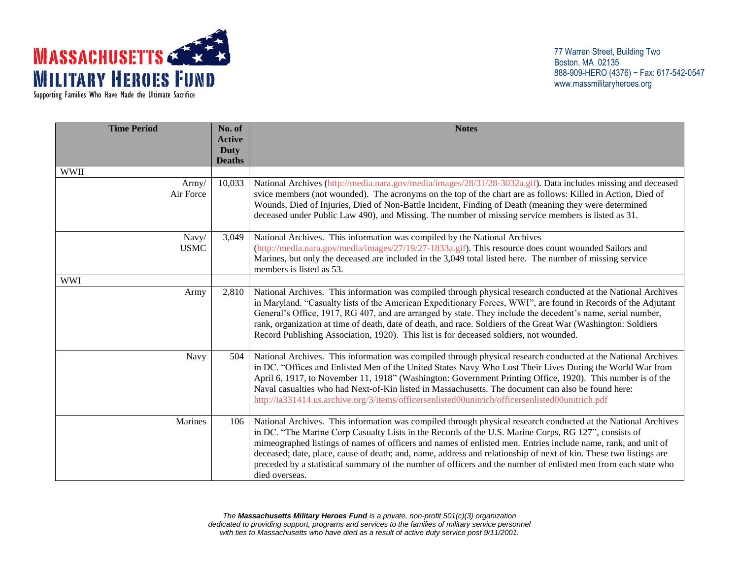

Supporting Families Who Have Made the Ultimate Sacrifice

77 Warren Street, Building Two Boston, MA 02135 888-909-HERO (4376) ~ Fax: 617-542-0547 www.massmilitaryheroes.org

| <b>Time Period</b>   | No. of<br><b>Active</b> | <b>Notes</b>                                                                                                                                                                                                                                                                                                                                                                                                                                                                                                                                                                                    |
|----------------------|-------------------------|-------------------------------------------------------------------------------------------------------------------------------------------------------------------------------------------------------------------------------------------------------------------------------------------------------------------------------------------------------------------------------------------------------------------------------------------------------------------------------------------------------------------------------------------------------------------------------------------------|
|                      | Duty<br><b>Deaths</b>   |                                                                                                                                                                                                                                                                                                                                                                                                                                                                                                                                                                                                 |
| <b>WWII</b>          |                         |                                                                                                                                                                                                                                                                                                                                                                                                                                                                                                                                                                                                 |
| Army/<br>Air Force   | 10,033                  | National Archives (http://media.nara.gov/media/images/28/31/28-3032a.gif). Data includes missing and deceased<br>svice members (not wounded). The acronyms on the top of the chart are as follows: Killed in Action, Died of<br>Wounds, Died of Injuries, Died of Non-Battle Incident, Finding of Death (meaning they were determined<br>deceased under Public Law 490), and Missing. The number of missing service members is listed as 31.                                                                                                                                                    |
| Navy/<br><b>USMC</b> | 3,049                   | National Archives. This information was compiled by the National Archives<br>(http://media.nara.gov/media/images/27/19/27-1833a.gif). This resource does count wounded Sailors and<br>Marines, but only the deceased are included in the 3,049 total listed here. The number of missing service<br>members is listed as 53.                                                                                                                                                                                                                                                                     |
| <b>WWI</b>           |                         |                                                                                                                                                                                                                                                                                                                                                                                                                                                                                                                                                                                                 |
| Army                 | 2,810                   | National Archives. This information was compiled through physical research conducted at the National Archives<br>in Maryland. "Casualty lists of the American Expeditionary Forces, WWI", are found in Records of the Adjutant<br>General's Office, 1917, RG 407, and are arranged by state. They include the decedent's name, serial number,<br>rank, organization at time of death, date of death, and race. Soldiers of the Great War (Washington: Soldiers<br>Record Publishing Association, 1920). This list is for deceased soldiers, not wounded.                                        |
| Navy                 | 504                     | National Archives. This information was compiled through physical research conducted at the National Archives<br>in DC. "Offices and Enlisted Men of the United States Navy Who Lost Their Lives During the World War from<br>April 6, 1917, to November 11, 1918" (Washington: Government Printing Office, 1920). This number is of the<br>Naval casualties who had Next-of-Kin listed in Massachusetts. The document can also be found here:<br>http://ia331414.us.archive.org/3/items/officersenlisted00unitrich/officersenlisted00unitrich.pdf                                              |
| Marines              | 106                     | National Archives. This information was compiled through physical research conducted at the National Archives<br>in DC. "The Marine Corp Casualty Lists in the Records of the U.S. Marine Corps, RG 127", consists of<br>mimeographed listings of names of officers and names of enlisted men. Entries include name, rank, and unit of<br>deceased; date, place, cause of death; and, name, address and relationship of next of kin. These two listings are<br>preceded by a statistical summary of the number of officers and the number of enlisted men from each state who<br>died overseas. |

*The Massachusetts Military Heroes Fund is a private, non-profit 501(c)(3) organization dedicated to providing support, programs and services to the families of military service personnel with ties to Massachusetts who have died as a result of active duty service post 9/11/2001.*